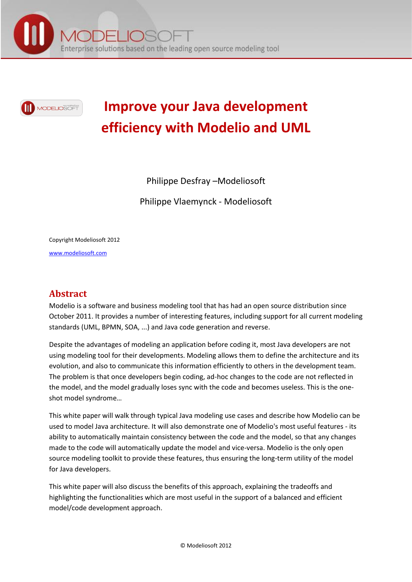



# **Improve your Java development efficiency with Modelio and UML**

Philippe Desfray –Modeliosoft

Philippe Vlaemynck - Modeliosoft

Copyright Modeliosoft 2012

[www.modeliosoft.com](http://www.modeliosoft.com/)

## **Abstract**

Modelio is a software and business modeling tool that has had an open source distribution since October 2011. It provides a number of interesting features, including support for all current modeling standards (UML, BPMN, SOA, ...) and Java code generation and reverse.

Despite the advantages of modeling an application before coding it, most Java developers are not using modeling tool for their developments. Modeling allows them to define the architecture and its evolution, and also to communicate this information efficiently to others in the development team. The problem is that once developers begin coding, ad-hoc changes to the code are not reflected in the model, and the model gradually loses sync with the code and becomes useless. This is the oneshot model syndrome…

This white paper will walk through typical Java modeling use cases and describe how Modelio can be used to model Java architecture. It will also demonstrate one of Modelio's most useful features - its ability to automatically maintain consistency between the code and the model, so that any changes made to the code will automatically update the model and vice-versa. Modelio is the only open source modeling toolkit to provide these features, thus ensuring the long-term utility of the model for Java developers.

This white paper will also discuss the benefits of this approach, explaining the tradeoffs and highlighting the functionalities which are most useful in the support of a balanced and efficient model/code development approach.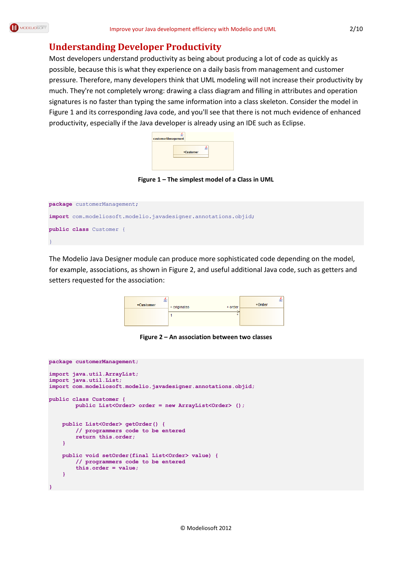### **Understanding Developer Productivity**

Most developers understand productivity as being about producing a lot of code as quickly as possible, because this is what they experience on a daily basis from management and customer pressure. Therefore, many developers think that UML modeling will not increase their productivity by much. They're not completely wrong: drawing a class diagram and filling in attributes and operation signatures is no faster than typing the same information into a class skeleton. Consider the model in [Figure 1](#page-1-0) and its corresponding Java code, and you'll see that there is not much evidence of enhanced productivity, especially if the Java developer is already using an IDE such as Eclipse.

| customerManagement |           |  |
|--------------------|-----------|--|
|                    | +Customer |  |
|                    |           |  |

**Figure 1 – The simplest model of a Class in UML**

<span id="page-1-0"></span>

| package customerManagement;                                    |
|----------------------------------------------------------------|
| import com.modeliosoft.modelio.javadesigner.annotations.objid; |
| <b>public class</b> Customer {                                 |
|                                                                |

The Modelio Java Designer module can produce more sophisticated code depending on the model, for example, associations, as shown in [Figure 2,](#page-1-1) and useful additional Java code, such as getters and setters requested for the association:

| +Customer | + originates | + order | 3Ė.<br>$+Order$ |
|-----------|--------------|---------|-----------------|
|           |              |         |                 |

**Figure 2 – An association between two classes**

```
package customerManagement;
import java.util.ArrayList;
import java.util.List;
import com.modeliosoft.modelio.javadesigner.annotations.objid;
public class Customer {
         public List<Order> order = new ArrayList<Order> ();
     public List<Order> getOrder() {
         // programmers code to be entered
         return this.order;
     }
     public void setOrder(final List<Order> value) {
         // programmers code to be entered
         this.order = value;
     }
}
```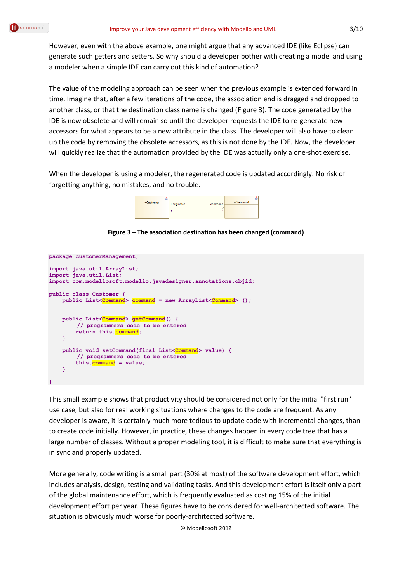However, even with the above example, one might argue that any advanced IDE (like Eclipse) can generate such getters and setters. So why should a developer bother with creating a model and using a modeler when a simple IDE can carry out this kind of automation?

The value of the modeling approach can be seen when the previous example is extended forward in time. Imagine that, after a few iterations of the code, the association end is dragged and dropped to another class, or that the destination class name is changed [\(Figure 3\)](#page-2-0). The code generated by the IDE is now obsolete and will remain so until the developer requests the IDE to re-generate new accessors for what appears to be a new attribute in the class. The developer will also have to clean up the code by removing the obsolete accessors, as this is not done by the IDE. Now, the developer will quickly realize that the automation provided by the IDE was actually only a one-shot exercise.

When the developer is using a modeler, the regenerated code is updated accordingly. No risk of forgetting anything, no mistakes, and no trouble.

| +Customer | + originates<br>+ command | $+Command$ |
|-----------|---------------------------|------------|
|           |                           |            |

**Figure 3 – The association destination has been changed (command)**

```
package customerManagement;
import java.util.ArrayList;
import java.util.List;
import com.modeliosoft.modelio.javadesigner.annotations.objid;
public class Customer {
    public List<Command> command = new ArrayList<Command> ();
     public List<Command> getCommand() {
        // programmers code to be entered
         return this.command;
     }
     public void setCommand(final List<Command> value) {
        // programmers code to be entered
         this.command = value;
     }
}
```
This small example shows that productivity should be considered not only for the initial "first run" use case, but also for real working situations where changes to the code are frequent. As any developer is aware, it is certainly much more tedious to update code with incremental changes, than to create code initially. However, in practice, these changes happen in every code tree that has a large number of classes. Without a proper modeling tool, it is difficult to make sure that everything is in sync and properly updated.

More generally, code writing is a small part (30% at most) of the software development effort, which includes analysis, design, testing and validating tasks. And this development effort is itself only a part of the global maintenance effort, which is frequently evaluated as costing 15% of the initial development effort per year. These figures have to be considered for well-architected software. The situation is obviously much worse for poorly-architected software.

© Modeliosoft 2012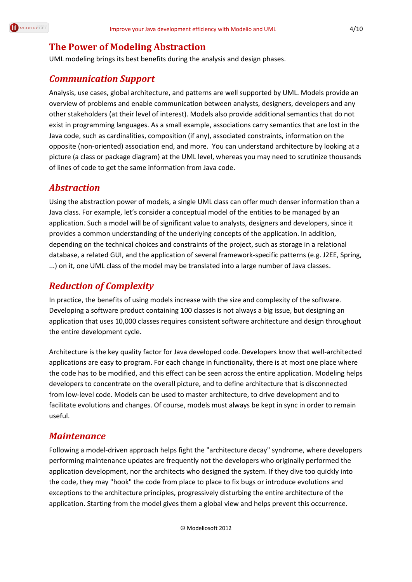# **The Power of Modeling Abstraction**

UML modeling brings its best benefits during the analysis and design phases.

### *Communication Support*

Analysis, use cases, global architecture, and patterns are well supported by UML. Models provide an overview of problems and enable communication between analysts, designers, developers and any other stakeholders (at their level of interest). Models also provide additional semantics that do not exist in programming languages. As a small example, associations carry semantics that are lost in the Java code, such as cardinalities, composition (if any), associated constraints, information on the opposite (non-oriented) association end, and more. You can understand architecture by looking at a picture (a class or package diagram) at the UML level, whereas you may need to scrutinize thousands of lines of code to get the same information from Java code.

### *Abstraction*

Using the abstraction power of models, a single UML class can offer much denser information than a Java class. For example, let's consider a conceptual model of the entities to be managed by an application. Such a model will be of significant value to analysts, designers and developers, since it provides a common understanding of the underlying concepts of the application. In addition, depending on the technical choices and constraints of the project, such as storage in a relational database, a related GUI, and the application of several framework-specific patterns (e.g. J2EE, Spring, ...) on it, one UML class of the model may be translated into a large number of Java classes.

# *Reduction of Complexity*

In practice, the benefits of using models increase with the size and complexity of the software. Developing a software product containing 100 classes is not always a big issue, but designing an application that uses 10,000 classes requires consistent software architecture and design throughout the entire development cycle.

Architecture is the key quality factor for Java developed code. Developers know that well-architected applications are easy to program. For each change in functionality, there is at most one place where the code has to be modified, and this effect can be seen across the entire application. Modeling helps developers to concentrate on the overall picture, and to define architecture that is disconnected from low-level code. Models can be used to master architecture, to drive development and to facilitate evolutions and changes. Of course, models must always be kept in sync in order to remain useful.

### *Maintenance*

Following a model-driven approach helps fight the "architecture decay" syndrome, where developers performing maintenance updates are frequently not the developers who originally performed the application development, nor the architects who designed the system. If they dive too quickly into the code, they may "hook" the code from place to place to fix bugs or introduce evolutions and exceptions to the architecture principles, progressively disturbing the entire architecture of the application. Starting from the model gives them a global view and helps prevent this occurrence.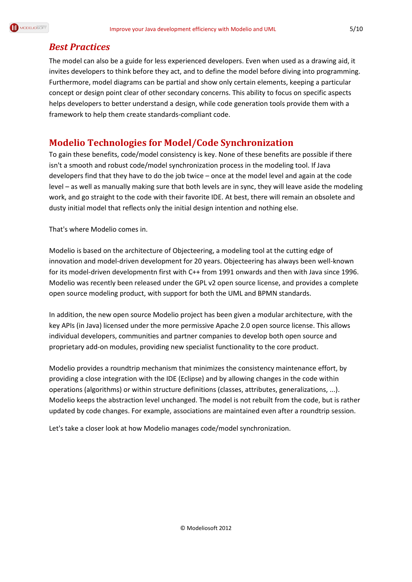

### *Best Practices*

The model can also be a guide for less experienced developers. Even when used as a drawing aid, it invites developers to think before they act, and to define the model before diving into programming. Furthermore, model diagrams can be partial and show only certain elements, keeping a particular concept or design point clear of other secondary concerns. This ability to focus on specific aspects helps developers to better understand a design, while code generation tools provide them with a framework to help them create standards-compliant code.

### **Modelio Technologies for Model/Code Synchronization**

To gain these benefits, code/model consistency is key. None of these benefits are possible if there isn't a smooth and robust code/model synchronization process in the modeling tool. If Java developers find that they have to do the job twice – once at the model level and again at the code level – as well as manually making sure that both levels are in sync, they will leave aside the modeling work, and go straight to the code with their favorite IDE. At best, there will remain an obsolete and dusty initial model that reflects only the initial design intention and nothing else.

That's where Modelio comes in.

Modelio is based on the architecture o[f Objecteering,](http://www.objecteering.com/) a modeling tool at the cutting edge of innovation and model-driven development for 20 years. Objecteering has always been well-known for its model-driven developmentn first with C++ from 1991 onwards and then with Java since 1996. Modelio was recently been released under the GPL v2 open source license, and provides a complete open source modeling product, with support for both the UML and BPMN standards.

In addition, the new open source Modelio project has been given a modular architecture, with the key APIs (in Java) licensed under the more permissive Apache 2.0 open source license. This allows individual developers, communities and partner companies to develop both open source and proprietary add-on modules, providing new specialist functionality to the core product.

Modelio provides a roundtrip mechanism that minimizes the consistency maintenance effort, by providing a close integration with the IDE (Eclipse) and by allowing changes in the code within operations (algorithms) or within structure definitions (classes, attributes, generalizations, ...). Modelio keeps the abstraction level unchanged. The model is not rebuilt from the code, but is rather updated by code changes. For example, associations are maintained even after a roundtrip session.

Let's take a closer look at how Modelio manages code/model synchronization.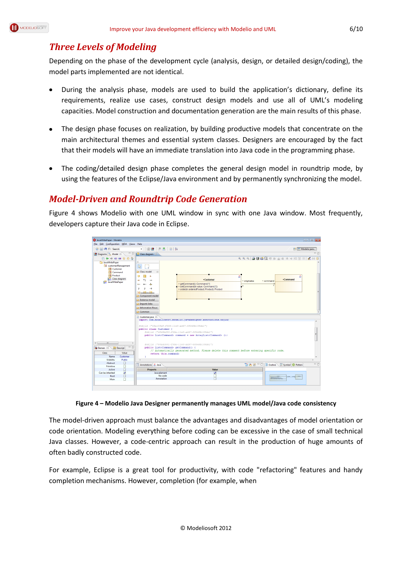

### *Three Levels of Modeling*

Depending on the phase of the development cycle (analysis, design, or detailed design/coding), the model parts implemented are not identical.

- During the analysis phase, models are used to build the application's dictionary, define its requirements, realize use cases, construct design models and use all of UML's modeling capacities. Model construction and documentation generation are the main results of this phase.
- The design phase focuses on realization, by building productive models that concentrate on the main architectural themes and essential system classes. Designers are encouraged by the fact that their models will have an immediate translation into Java code in the programming phase.
- The coding/detailed design phase completes the general design model in roundtrip mode, by using the features of the Eclipse/Java environment and by permanently synchronizing the model.

### *Model-Driven and Roundtrip Code Generation*

Figure 4 shows Modelio with one UML window in sync with one Java window. Most frequently, developers capture their Java code in Eclipse.



**Figure 4 – Modelio Java Designer permanently manages UML model/Java code consistency**

The model-driven approach must balance the advantages and disadvantages of model orientation or code orientation. Modeling everything before coding can be excessive in the case of small technical Java classes. However, a code-centric approach can result in the production of huge amounts of often badly constructed code.

For example, Eclipse is a great tool for productivity, with code "refactoring" features and handy completion mechanisms. However, completion (for example, when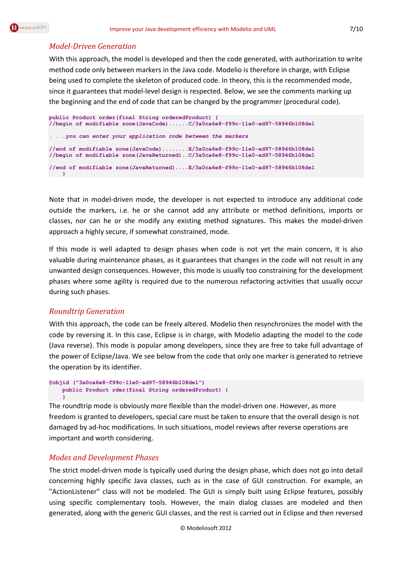

#### *Model-Driven Generation*

With this approach, the model is developed and then the code generated, with authorization to write method code only between markers in the Java code. Modelio is therefore in charge, with Eclipse being used to complete the skeleton of produced code. In theory, this is the recommended mode, since it guarantees that model-level design is respected. Below, we see the comments marking up the beginning and the end of code that can be changed by the programmer (procedural code).

```
public Product order(final String orderedProduct) {
//begin of modifiable zone(JavaCode)......C/3a0ca6e8-f99c-11e0-ad97-58946b108de1
. . .you can enter your application code between the markers
//end of modifiable zone(JavaCode)........E/3a0ca6e8-f99c-11e0-ad97-58946b108de1
//begin of modifiable zone(JavaReturned)..C/3a0ca6e8-f99c-11e0-ad97-58946b108de1
//end of modifiable zone(JavaReturned)....E/3a0ca6e8-f99c-11e0-ad97-58946b108de1
 }
```
Note that in model-driven mode, the developer is not expected to introduce any additional code outside the markers, i.e. he or she cannot add any attribute or method definitions, imports or classes, nor can he or she modify any existing method signatures. This makes the model-driven approach a highly secure, if somewhat constrained, mode.

If this mode is well adapted to design phases when code is not yet the main concern, it is also valuable during maintenance phases, as it guarantees that changes in the code will not result in any unwanted design consequences. However, this mode is usually too constraining for the development phases where some agility is required due to the numerous refactoring activities that usually occur during such phases.

#### *Roundtrip Generation*

With this approach, the code can be freely altered. Modelio then resynchronizes the model with the code by reversing it. In this case, Eclipse is in charge, with Modelio adapting the model to the code (Java reverse). This mode is popular among developers, since they are free to take full advantage of the power of Eclipse/Java. We see below from the code that only one marker is generated to retrieve the operation by its identifier.

```
@objid ("3a0ca6e8-f99c-11e0-ad97-58946b108de1")
    public Product rder(final String orderedProduct) {
     }
```
The roundtrip mode is obviously more flexible than the model-driven one. However, as more freedom is granted to developers, special care must be taken to ensure that the overall design is not damaged by ad-hoc modifications. In such situations, model reviews after reverse operations are important and worth considering.

#### *Modes and Development Phases*

The strict model-driven mode is typically used during the design phase, which does not go into detail concerning highly specific Java classes, such as in the case of GUI construction. For example, an "ActionListener" class will not be modeled. The GUI is simply built using Eclipse features, possibly using specific complementary tools. However, the main dialog classes are modeled and then generated, along with the generic GUI classes, and the rest is carried out in Eclipse and then reversed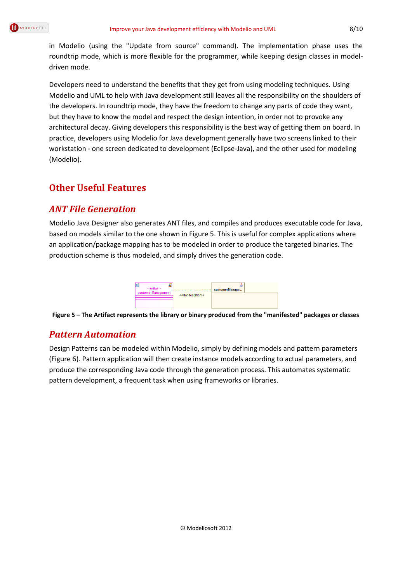in Modelio (using the "Update from source" command). The implementation phase uses the roundtrip mode, which is more flexible for the programmer, while keeping design classes in modeldriven mode.

Developers need to understand the benefits that they get from using modeling techniques. Using Modelio and UML to help with Java development still leaves all the responsibility on the shoulders of the developers. In roundtrip mode, they have the freedom to change any parts of code they want, but they have to know the model and respect the design intention, in order not to provoke any architectural decay. Giving developers this responsibility is the best way of getting them on board. In practice, developers using Modelio for Java development generally have two screens linked to their workstation - one screen dedicated to development (Eclipse-Java), and the other used for modeling (Modelio).

# **Other Useful Features**

### *ANT File Generation*

Modelio Java Designer also generates ANT files, and compiles and produces executable code for Java, based on models similar to the one shown in [Figure 5.](#page-7-0) This is useful for complex applications where an application/package mapping has to be modeled in order to produce the targeted binaries. The production scheme is thus modeled, and simply drives the generation code.

| < <artifact>&gt;</artifact> |                                       | 虚<br>customerManage |  |
|-----------------------------|---------------------------------------|---------------------|--|
| customerManagement          | < <manifestation>&gt;</manifestation> |                     |  |

<span id="page-7-0"></span>**Figure 5 – The Artifact represents the library or binary produced from the "manifested" packages or classes**

### *Pattern Automation*

Design Patterns can be modeled within Modelio, simply by defining models and pattern parameters [\(Figure 6\)](#page-8-0). Pattern application will then create instance models according to actual parameters, and produce the corresponding Java code through the generation process. This automates systematic pattern development, a frequent task when using frameworks or libraries.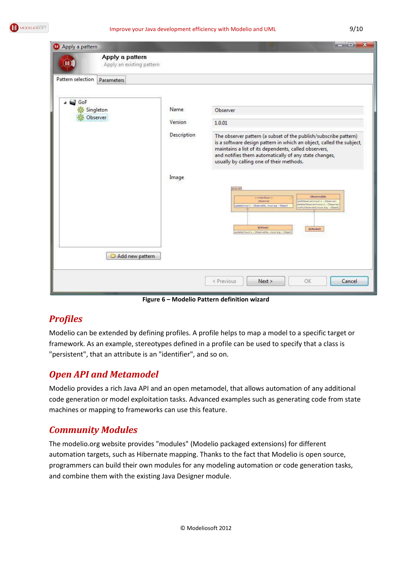| Apply a pattern   |                                              |                                         | $\mathbf{x}$<br>$\sim$                                                                                                                                                                                                                                                                                                                                                                                                                                                                                                                                                                                                                    |
|-------------------|----------------------------------------------|-----------------------------------------|-------------------------------------------------------------------------------------------------------------------------------------------------------------------------------------------------------------------------------------------------------------------------------------------------------------------------------------------------------------------------------------------------------------------------------------------------------------------------------------------------------------------------------------------------------------------------------------------------------------------------------------------|
|                   | Apply a pattern<br>Apply an existing pattern |                                         |                                                                                                                                                                                                                                                                                                                                                                                                                                                                                                                                                                                                                                           |
| Pattern selection | Parameters                                   |                                         |                                                                                                                                                                                                                                                                                                                                                                                                                                                                                                                                                                                                                                           |
| o<br>GoF          | Singleton<br>Observer<br>Add new pattern     | Name<br>Version<br>Description<br>Image | Observer<br>1.0.01<br>The observer pattern (a subset of the publish/subscribe pattern)<br>is a software design pattern in which an object, called the subject,<br>maintains a list of its dependents, called observers,<br>and notifies them automatically of any state changes,<br>usually by calling one of their methods.<br>38V8.001<br><b>Observable</b><br>cemterfaces><br>Obverver<br>addObserver[inout o : Observer]<br>deleteObserver(inout d r. Observer<br>update(inout o : Observable, inout arg : Object)<br>stifyDbservers[inout arg : Object]<br>\$(View)<br>\$(Model)<br>update(input o : Observable, input arg : Object) |
|                   |                                              |                                         | Cancel<br>< Previous<br>Next<br>OK                                                                                                                                                                                                                                                                                                                                                                                                                                                                                                                                                                                                        |

**Figure 6 – Modelio Pattern definition wizard**

### <span id="page-8-0"></span>*Profiles*

Modelio can be extended by defining profiles. A profile helps to map a model to a specific target or framework. As an example, stereotypes defined in a profile can be used to specify that a class is "persistent", that an attribute is an "identifier", and so on.

### *Open API and Metamodel*

Modelio provides a rich Java API and an open metamodel, that allows automation of any additional code generation or model exploitation tasks. Advanced examples such as generating code from state machines or mapping to frameworks can use this feature.

### *Community Modules*

The modelio.org website provides "modules" (Modelio packaged extensions) for different automation targets, such as Hibernate mapping. Thanks to the fact that Modelio is open source, programmers can build their own modules for any modeling automation or code generation tasks, and combine them with the existing Java Designer module.